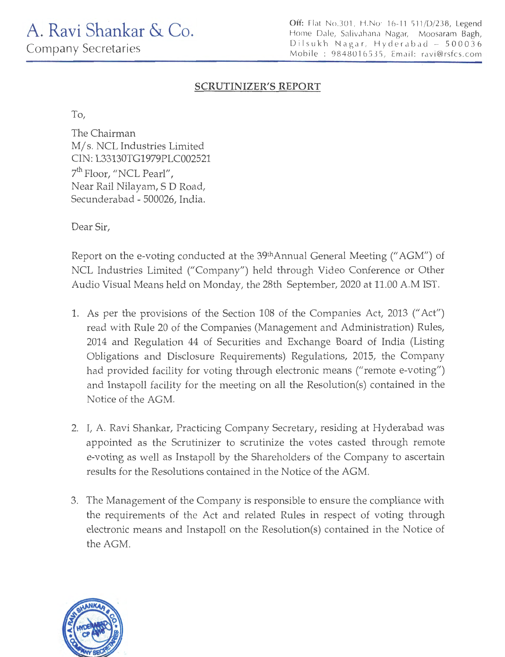Off: Flat No.301, H.No<sup>.</sup> 16-11-511/D/238, Legend Home Dale, Salivahana Nagar, Moosaram Bagh, Dilsukh Nagar, Hyderabad- 500036 Mobile : 9848016535, Email: ravi@rsfcs.com

## SCRUTINIZER'S REPORT

To,

The Chairman M/ s. NCL Industries Limited CIN: L33130TG1979PLC002521 7th Floor, "NCL Pearl", Near Rail Nilayam, S D Road, Secunderabad- 500026, India.

Dear Sir,

Report on the e-voting conducted at the 39<sup>th</sup> Annual General Meeting ("AGM") of NCL Industries Limited ("Company") held through Video Conference or Other Audio Visual Means held on Monday, the 28th September, 2020 at 11.00 A.M IST.

- 1. As per the provisions of the Section 108 of the Companies Act, 2013 ("Act") read with Rule 20 of the Companies (Management and Administration) Rules, 2014 and Regulation 44 of Securities and Exchange Board of India (Listing Obligations and Disclosure Requirements) Regulations, 2015, the Company had provided facility for voting through electronic means ("remote e-voting") and Instapoll facility for the meeting on all the Resolution(s) contained in the Notice of the AGM.
- 2. I, A. Ravi Shankar, Practicing Company Secretary, residing at Hyderabad was appointed as the Scrutinizer to scrutinize the votes casted through remote e-voting as well as Instapoll by the Shareholders of the Company to ascertain results for the Resolutions contained in the Notice of the AGM.
- 3. The Management of the Company is responsible to ensure the compliance with the requirements of the Act and related Rules in respect of voting through electronic means and Instapoll on the Resolution(s) contained in the Notice of the AGM.

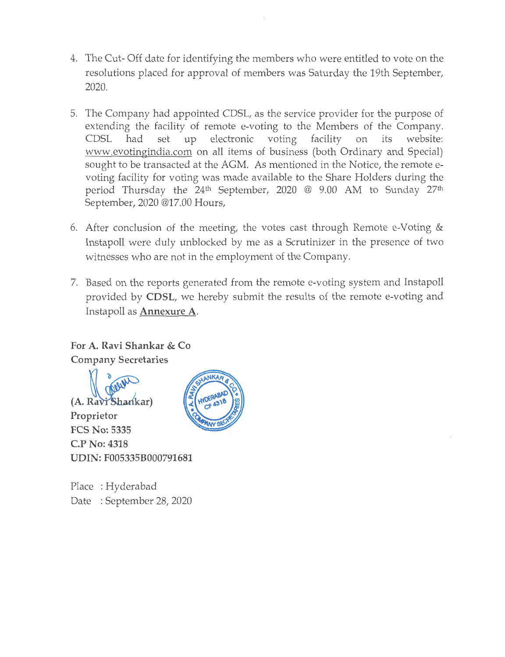- 4. The Cut- Off date for identifying the members who were entitled to vote on the resolutions placed for approval of members was Saturday the 19th September, 2020.
- 5. The Company had appointed CDSL, as the service provider for the purpose of extending the facility of remote e-voting to the Members of the Company. CDSL had set up electronic voting facility on its website: www.evotingindia.com on all items of business (both Ordinary and Special) sought to be transacted at the AGM. As mentioned in the Notice, the remote evoting facility for voting was made available to the Share Holders during the period Thursday the 24<sup>th</sup> September, 2020 @ 9.00 AM to Sunday 27<sup>th</sup> September, 2020 @17.00 Hours,
- 6. After conclusion of the meeting, the votes cast through Remote e-Voting & Instapoll were duly unblocked by me as a Scrutinizer in the presence of two witnesses who are not in the employment of the Company.
- 7. Based on the reports generated from the remote e-voting system and Instapoll provided by **CDSL,** we hereby submit the results of the remote e-voting and Instapoll as **Annexure A.**

**For A. Ravi Shankar & Co Company Secretaries** 



Place : Hyderabad Date : September 28, 2020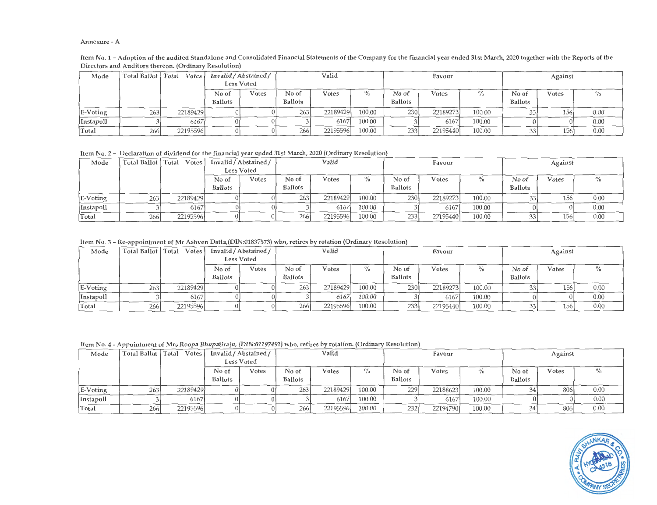## Annexure - A

Item No. 1 - Adoption of the audited Standalone and Consolidated Financial Statements of the Company for the financial year ended 31st March, 2020 together with the Reports of the Directors and Auditors thereon. {Ordinary Resolution)

| Mode      |     | Total Ballot   Total Votes |                | Invalid / Abstained / | Valid          |          |               |                | Favour   |        | Against        |       |      |  |
|-----------|-----|----------------------------|----------------|-----------------------|----------------|----------|---------------|----------------|----------|--------|----------------|-------|------|--|
|           |     |                            |                | <b>Less Voted</b>     |                |          |               |                |          |        |                |       |      |  |
|           |     |                            | No of          | Votes                 | No of          | Votes    | $\frac{0}{0}$ | No of          | Votes    |        | No of          | Votes |      |  |
|           |     |                            | <b>Ballots</b> |                       | <b>Ballots</b> |          |               | <b>Ballots</b> |          |        | <b>Ballots</b> |       |      |  |
| E-Voting  | 263 | 22189429                   |                |                       | 263            | 22189429 | 100.00        | 230            | 22189273 | 100.00 |                | 156   | 0.00 |  |
| Instapoll |     | 6167                       |                |                       |                | 6167     | 100.00        |                | 6167     | 100.00 |                |       | 0.00 |  |
| Total     | 266 | 22195596                   |                |                       | 266            | 22195596 | 100.00        | 233.           | 22195440 | 100.00 | 33             | 156   | 0.00 |  |

Item No. 2- Declaration of dividend for the financial year ended 31st March, 2020 (Ordinary Resolution)

| Mode      | Total Ballot   Total | Votes    |                | Invalid / Abstained / | Valid          |          |               |                | Favour   |        | Against        |       |      |  |
|-----------|----------------------|----------|----------------|-----------------------|----------------|----------|---------------|----------------|----------|--------|----------------|-------|------|--|
|           |                      |          |                | <b>Less Voted</b>     |                |          |               |                |          |        |                |       |      |  |
|           |                      |          | No of          | Votes                 | No of          | Votes    | $\frac{0}{0}$ | No of          | Votes    |        | No of          | Votes |      |  |
|           |                      |          | <b>Ballots</b> |                       | <b>Ballots</b> |          |               | <b>Ballots</b> |          |        | <b>Ballots</b> |       |      |  |
| E-Voting  | 263                  | 22189429 |                |                       | 263            | 22189429 | 100.00        | 230            | 22189273 | 100.00 |                |       | 0.00 |  |
| Instapoll |                      | 6167     |                |                       |                | 6167     | 100.00        |                | 6167     | 100.00 |                |       | 0.00 |  |
| Total     | 266                  | 22195596 |                |                       | 266            | 22195596 | 100.00        | 233            | 22195440 | 100.00 |                | 156   | 0.00 |  |

Item No.3 - Re-appointment of Mr Ashven Datla,(DIN:01837573) who, retires by rotation (Ordinary Resolution)

| Mode      |     | Total Ballot   Total Votes |                | Invalid / Abstained / | Valid          |          |               |                | Favour   |        | Against        |       |      |  |
|-----------|-----|----------------------------|----------------|-----------------------|----------------|----------|---------------|----------------|----------|--------|----------------|-------|------|--|
|           |     |                            |                | Less Voted            |                |          |               |                |          |        |                |       |      |  |
|           |     |                            | No of          | Votes                 | No of          | Votes    | $\frac{0}{0}$ | No of          | Votes    |        | No of          | Votes |      |  |
|           |     |                            | <b>Ballots</b> |                       | <b>Ballots</b> |          |               | <b>Ballots</b> |          |        | <b>Ballots</b> |       |      |  |
| E-Voting  | 263 | 22189429                   |                |                       | 263            | 22189429 | 100.00        | 230            | 22189273 | 100.00 |                |       | 0.00 |  |
| Instapoll |     | 6167                       |                |                       |                | 6167     | 100.00        |                | 6167     | 100.00 |                |       | 0.00 |  |
| Total     | 266 | 22195596                   |                |                       | 266            | 22195596 | 100.00        | 233            | 22195440 | 100.00 |                |       | 0.00 |  |

Item No. 4 - Appointment of Mrs Roopa Bhupatiraju, (DIN:01197491) who, retires by rotation. (Ordinary Resolution)

| Mode      | Total Ballot   Total | Votes             |                         | Invalid / Abstained /<br>Less Voted | Valid                   |           |               |                         | Favour   |        | Against                 |       |      |  |
|-----------|----------------------|-------------------|-------------------------|-------------------------------------|-------------------------|-----------|---------------|-------------------------|----------|--------|-------------------------|-------|------|--|
|           |                      |                   | No of<br><b>Ballots</b> | Votes                               | No of<br><b>Ballots</b> | Votes     | $\frac{0}{0}$ | No of<br><b>Ballots</b> | Votes    |        | No of<br><b>Ballots</b> | Votes |      |  |
| E-Voting  | 263                  | 22189429          |                         |                                     | 263                     | 22189429  | 100.00        | 229                     | 22188623 | 100.00 |                         | 806   | 0.00 |  |
| Instapoll |                      | 6167 <sup>'</sup> |                         |                                     |                         | 6167      | 100.00        |                         | 6167     | 100.00 |                         |       | 0.00 |  |
| Total     | 266                  | 22195596          |                         |                                     | 266                     | 221955961 | 100.00        | 232                     | 22194790 | 100.00 | 34                      |       | 0.00 |  |

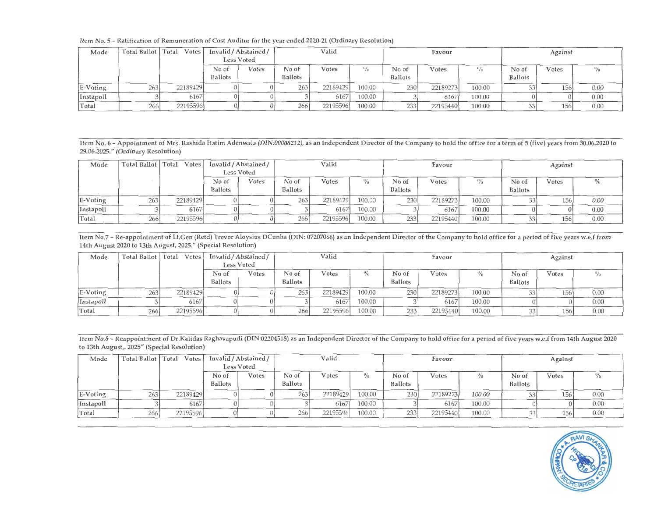| Mode      | Total Ballot   Total | Votes    |         | Invalid / Abstained / | Valid          |          |               |                | Favour   |               | Against        |       |      |  |
|-----------|----------------------|----------|---------|-----------------------|----------------|----------|---------------|----------------|----------|---------------|----------------|-------|------|--|
|           |                      |          |         | <b>Less Voted</b>     |                |          |               |                |          |               |                |       |      |  |
|           |                      |          | No of   | Votes                 | No of          | Votes    | $\frac{0}{0}$ | No of          | Votes    | $\frac{0}{a}$ | No of          | Votes |      |  |
|           |                      |          | Ballots |                       | <b>Ballots</b> |          |               | <b>Ballots</b> |          |               | <b>Ballots</b> |       |      |  |
| E-Voting  | 263                  | 22189429 |         |                       | 263            | 22189429 | 100.00        | 230            | 22189273 | 100.00        | 33             | 156   | 0.00 |  |
| Instapoll |                      | 6167     |         |                       |                | 6167     | 100.00        |                | 6167     | 100.00        |                |       | 0.00 |  |
| Total     | 266                  | 22195596 |         |                       | 2661           | 22195596 | 100.00        | 233            | 22195440 | 100.00        | 33             | 156   | 0.00 |  |

Item No.5 - Ratification of Remuneration of Cost Auditor for the year ended 2020-21 (Ordinary Resolution)

Item No. 6 - Appointment of Mrs. Rashida Hatim Adenwala (DIN:00008212), as an Independent Director of the Company to hold the office for a term of 5 (five) years from 30.06.2020 to 29.06.2025." (Ordinary Resolution)

| Mode      | Total Ballot   Total | Votes    |                | Invalid / Abstained / |                | Valid    |               |                | Favour    |        | Against        |       |      |  |
|-----------|----------------------|----------|----------------|-----------------------|----------------|----------|---------------|----------------|-----------|--------|----------------|-------|------|--|
|           |                      |          |                | <b>Less Voted</b>     |                |          |               |                |           |        |                |       |      |  |
|           |                      |          | No of          | Votes                 | No of          | Votes    | $\frac{0}{0}$ | No of          | Votes     | %      | No of          | Votes |      |  |
|           |                      |          | <b>Ballots</b> |                       | <b>Ballots</b> |          |               | <b>Ballots</b> |           |        | <b>Ballots</b> |       |      |  |
| E-Voting  | 263                  | 22189429 |                |                       | 263            | 22189429 | 100.00        | 230            | 22189273  | 100.00 |                |       | 0.00 |  |
| Instapoll |                      | 6167     |                |                       |                | 6167     | 100.00        |                | 6167      | 100.00 |                |       | 0.00 |  |
| Total     | 266                  | 22195596 |                |                       | 266            | 22195596 | 100.00        | 233            | 221954401 | 100.00 |                |       | 0.00 |  |

Item No.7 - Re-appointment of Lt.Gen (Retd) Trevor Aloysius DCunha (DIN: 07207066) as an Independent Director of the Company to hold office for a period of five years w.e.f from 14th August 2020 to 13th August, 2025." (Special Resolution)

| Mode      | Total Ballot   Total | Votes    | Invalid / Abstained / |            | Valid            |          |               |                | Favour   |        | Against        |       |      |  |
|-----------|----------------------|----------|-----------------------|------------|------------------|----------|---------------|----------------|----------|--------|----------------|-------|------|--|
|           |                      |          |                       | Less Voted |                  |          |               |                |          |        |                |       |      |  |
|           |                      |          | No of                 | Votes      | No of            | Votes    | $\frac{0}{0}$ | No of          | Votes    |        | No of          | Votes |      |  |
|           |                      |          | <b>Ballots</b>        |            | <b>Ballots</b>   |          |               | <b>Ballots</b> |          |        | <b>Ballots</b> |       |      |  |
| E-Voting  | 263                  | 22189429 |                       |            | 263 <sub>1</sub> | 22189429 | 100.00        | 230            | 22189273 | 100.00 |                | 156   | 0.00 |  |
| Instapoll |                      | 6167     |                       |            |                  | 6167     | 100.00        |                | 6167     | 100.00 |                |       | 0.00 |  |
| Total     | 266                  | 22195596 |                       |            | 266              | 22195596 | 100.00        | 233            | 22195440 | 100.00 | 33             | 156   | 0.00 |  |

Item No.8 - Reappointment of Dr.Kalidas Raghavapudi (DIN:02204518) as an Independent Director of the Company to hold office for a period of five years w.e.f from 14th August 2020 to 13th August,. 2025" (Special Resolution)

| Mode      | Total Ballot   Total | Votes    |                | Invalid / Abstained / | Valid          |          |             |                | Favour   |        | Against        |       |      |  |
|-----------|----------------------|----------|----------------|-----------------------|----------------|----------|-------------|----------------|----------|--------|----------------|-------|------|--|
|           |                      |          |                | Less Voted            |                |          |             |                |          |        |                |       |      |  |
|           |                      |          | No of          | Votes                 | No of          | Votes    | $^{0}/_{0}$ | No of          | Votes    |        | No of          | Votes |      |  |
|           |                      |          | <b>Ballots</b> |                       | <b>Ballots</b> |          |             | <b>Ballots</b> |          |        | <b>Ballots</b> |       |      |  |
| E-Voting  | 263                  | 22189429 |                |                       | 263            | 22189429 | 100.00      | 230            | 22189273 | 100.00 |                | 1561  | 0.00 |  |
| Instapoll |                      | 6167     |                |                       |                | 6167     | 100.00      |                | 6167     | 100.00 |                |       | 0.00 |  |
| Total     | 266                  | 22195596 |                |                       | 266            | 22195596 | 100.00      | 2331           | 22195440 | 100.00 | 331            | 156   | 0.00 |  |